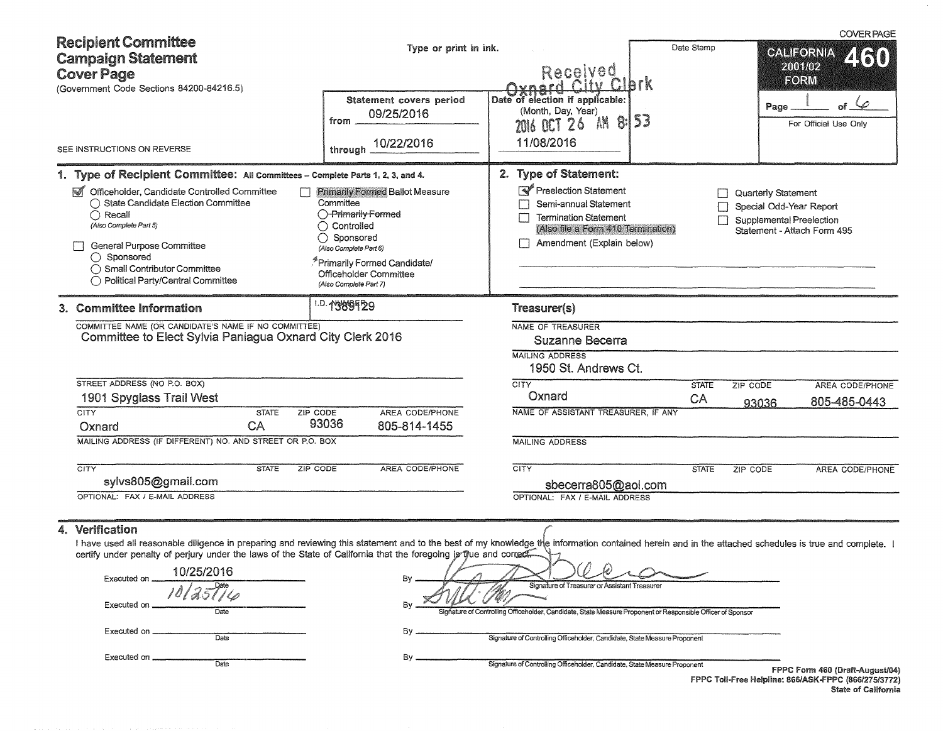| <b>Recipient Committee</b><br><b>Campaign Statement</b><br><b>Cover Page</b><br>(Government Code Sections 84200-84216.5)                                                                                                                                                                                                                                                                                                     | Type or print in ink.<br>Statement covers period<br>09/25/2016<br>from                                                                                                                                                             | Received<br>Oxnard City Clork<br>Date of election if applicable:<br>(Month, Day, Year)<br>2016 OCT 26 AM 8:153                                                                                 | Date Stamp         | <b>COVER PAGE</b><br><b>CALIFORNIA</b><br>2001/02<br>FORM<br>$\varphi$<br>of<br>Page<br>For Official Use Only    |
|------------------------------------------------------------------------------------------------------------------------------------------------------------------------------------------------------------------------------------------------------------------------------------------------------------------------------------------------------------------------------------------------------------------------------|------------------------------------------------------------------------------------------------------------------------------------------------------------------------------------------------------------------------------------|------------------------------------------------------------------------------------------------------------------------------------------------------------------------------------------------|--------------------|------------------------------------------------------------------------------------------------------------------|
| SEE INSTRUCTIONS ON REVERSE                                                                                                                                                                                                                                                                                                                                                                                                  | 10/22/2016<br>through                                                                                                                                                                                                              | 11/08/2016                                                                                                                                                                                     |                    |                                                                                                                  |
| 1. Type of Recipient Committee: All Committees - Complete Parts 1, 2, 3, and 4.<br>Officeholder, Candidate Controlled Committee<br>◯ State Candidate Election Committee<br>$\bigcap$ Recall<br>(Also Complete Part 5)<br><b>General Purpose Committee</b><br>◯ Sponsored<br>◯ Small Contributor Committee<br>◯ Political Party/Central Committee                                                                             | <b>Primarily Formed Ballot Measure</b><br>Committee<br>O-Primarily Formed<br>◯ Controlled<br>◯ Sponsored<br>(Also Complete Part 6)<br><sup>5</sup> Primarily Formed Candidate/<br>Officeholder Committee<br>(Also Complete Part 7) | 2. Type of Statement:<br>Preelection Statement<br>Semi-annual Statement<br><b>Termination Statement</b><br>(Also file a Form 410 Termination)<br>Amendment (Explain below)                     |                    | Quarterly Statement<br>Special Odd-Year Report<br><b>Supplemental Preelection</b><br>Statement - Attach Form 495 |
| 3. Committee Information<br>COMMITTEE NAME (OR CANDIDATE'S NAME IF NO COMMITTEE)<br>Committee to Elect Sylvia Paniagua Oxnard City Clerk 2016<br>STREET ADDRESS (NO P.O. BOX)<br>1901 Spyglass Trail West                                                                                                                                                                                                                    | 1.D. 1989129                                                                                                                                                                                                                       | Treasurer(s)<br>NAME OF TREASURER<br>Suzanne Becerra<br><b>MAILING ADDRESS</b><br>1950 St. Andrews Ct.<br><b>CITY</b><br>Oxnard                                                                | <b>STATE</b><br>CA | ZIP CODE<br>AREA CODE/PHONE<br>805-485-0443<br>93036                                                             |
| <b>CITY</b><br><b>STATE</b><br>ZIP CODE<br>CA<br>Oxnard<br>MAILING ADDRESS (IF DIFFERENT) NO. AND STREET OR P.O. BOX<br>CITY<br><b>STATE</b><br>ZIP CODE<br>sylvs805@gmail.com                                                                                                                                                                                                                                               | AREA CODE/PHONE<br>93036<br>805-814-1455<br><b>AREA CODE/PHONE</b>                                                                                                                                                                 | NAME OF ASSISTANT TREASURER, IF ANY<br><b>MAILING ADDRESS</b><br>CITY<br>sbecerra805@aol.com                                                                                                   | <b>STATE</b>       | ZIP CODE<br>AREA CODE/PHONE                                                                                      |
| OPTIONAL: FAX / E-MAIL ADDRESS<br>4. Verification<br>I have used all reasonable diligence in preparing and reviewing this statement and to the best of my knowledge the information contained herein and in the attached schedules is true and complete.<br>certify under penalty of perjury under the laws of the State of California that the foregoing is thus and correct.<br>10/25/2016<br>Executed on .<br>Executed on | Bγ<br>By                                                                                                                                                                                                                           | OPTIONAL: FAX / E-MAIL ADDRESS<br>Signature of Treasurer or Assistant Treasurer<br>Signature of Controlling Officeholder, Candidate, State Measure Proponent or Responsible Officer of Sponsor |                    |                                                                                                                  |

Executed on---------------- Date

Executed on---------------- Date

By **Signature of Controlling Officeholder**, Candidate, State Measure Proponent

By **Signature of Controlling Officeholder**, Candidate, State Measure Proponent **FPPC Form 460 (Draft-August/04)** 

FPPC Toll-Free Helpline: 866/ASK-FPPC (866/275/3772) State of California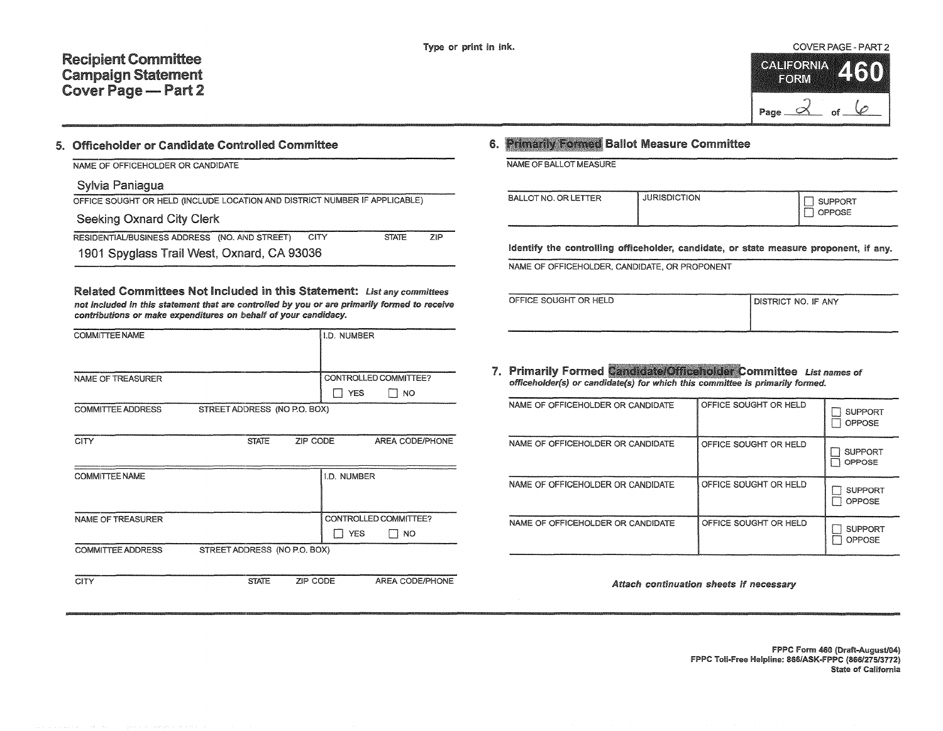

#### 5. Officeholder or Candidate Controlled Committee

NAME OF OFFICEHOLDER OR CANDIDATE

### Sylvia Paniagua

|  |  | OFFICE SOUGHT OR HELD (INCLUDE LOCATION AND DISTRICT NUMBER IF APPLICABLE) |  |
|--|--|----------------------------------------------------------------------------|--|
|  |  |                                                                            |  |

## Seeking Oxnard City Clerk

| RESIDENTIAL/BUSINESS ADDRESS (NO. AND STREET) CITY |  | <b>STATE</b> | ZIP |
|----------------------------------------------------|--|--------------|-----|
| 1901 Spyglass Trail West, Oxnard, CA 93036         |  |              |     |

Related Committees Not Included in this Statement: List any committees not included in this statement that are controlled by you or are primarily formed to receive contributions or make expenditures on behalf of your candidacy.

| <b>COMMITTEE NAME</b>    |                              |          | I.D. NUMBER        |                       |
|--------------------------|------------------------------|----------|--------------------|-----------------------|
|                          |                              |          |                    |                       |
| <b>NAME OF TREASURER</b> |                              |          |                    | CONTROLLED COMMITTEE? |
|                          |                              |          | <b>YES</b>         | $\Box$ NO             |
| <b>COMMITTEE ADDRESS</b> | STREET ADDRESS (NO P.O. BOX) |          |                    |                       |
|                          |                              |          |                    |                       |
| <b>CITY</b>              | <b>STATE</b>                 | ZIP CODE |                    | AREA CODE/PHONE       |
|                          |                              |          |                    |                       |
| <b>COMMITTEE NAME</b>    |                              |          | <b>I.D. NUMBER</b> |                       |
|                          |                              |          |                    |                       |
|                          |                              |          |                    |                       |
| NAME OF TREASURER        |                              |          |                    | CONTROLLED COMMITTEE? |
|                          |                              |          | <b>YES</b>         | NO.                   |
| <b>COMMITTEE ADDRESS</b> | STREET ADDRESS (NO P.O. BOX) |          |                    |                       |
|                          |                              |          |                    |                       |
| <b>CITY</b>              | <b>STATE</b>                 | ZIP CODE |                    | AREA CODE/PHONE       |

## **6. Primarily Formed Ballot Measure Committee**

NAME OF BALLOT MEASURE

| OPPOSE<br><b>Links</b> | BALLOT NO. OR LETTER | <b>JURISDICTION</b> | SUPPORT |
|------------------------|----------------------|---------------------|---------|
|------------------------|----------------------|---------------------|---------|

identify the controlling officeholder, candidate, or state measure proponent, if any.

NAME OF OFFICEHOLDER, CANDIDATE, OR PROPONENT

|--|

| ISTRICT NO. IF ANY |  |  |
|--------------------|--|--|
|                    |  |  |

7. Primarily Formed Candidate/Officeholder Committee List names of officeholder(s) or candidate(s) for which this committee is primarily formed.

| NAME OF OFFICEHOLDER OR CANDIDATE | OFFICE SOUGHT OR HELD | <b>SUPPORT</b><br>OPPOSE        |
|-----------------------------------|-----------------------|---------------------------------|
| NAME OF OFFICEHOLDER OR CANDIDATE | OFFICE SOUGHT OR HELD | <b>SUPPORT</b><br><b>OPPOSE</b> |
| NAME OF OFFICEHOLDER OR CANDIDATE | OFFICE SOUGHT OR HELD | <b>SUPPORT</b><br>OPPOSE        |
| NAME OF OFFICEHOLDER OR CANDIDATE | OFFICE SOUGHT OR HELD | <b>SUPPORT</b><br>OPPOSE        |

Attach continuation sheets if necessary

FPPC Form 460 (Draft-August/04) FPPC Toll-Free Helpline: 866/ASK-FPPC (866/27513772) State of California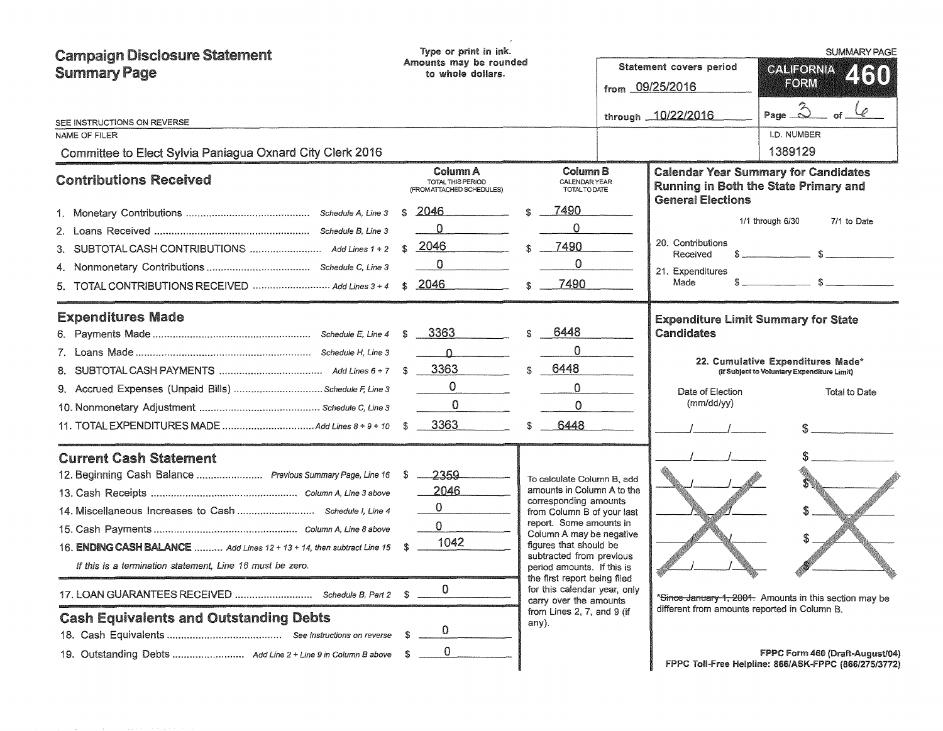| <b>Campaign Disclosure Statement</b><br><b>Summary Page</b>                                                                                                                                                                                                                         | Type or print in ink.<br>Amounts may be rounded<br>to whole dollars.                      |                                                                                                                                                                                                                                       |                                                                                                                                                    | <b>Statement covers period</b><br>from 09/25/2016<br>through 10/22/2016                   | SUMMARY PAGE<br><b>CALIFORNIA</b><br>2130<br>FORM<br>Page $\hat{\triangle}$                                                                            |
|-------------------------------------------------------------------------------------------------------------------------------------------------------------------------------------------------------------------------------------------------------------------------------------|-------------------------------------------------------------------------------------------|---------------------------------------------------------------------------------------------------------------------------------------------------------------------------------------------------------------------------------------|----------------------------------------------------------------------------------------------------------------------------------------------------|-------------------------------------------------------------------------------------------|--------------------------------------------------------------------------------------------------------------------------------------------------------|
| SEE INSTRUCTIONS ON REVERSE<br>NAME OF FILER                                                                                                                                                                                                                                        |                                                                                           |                                                                                                                                                                                                                                       |                                                                                                                                                    |                                                                                           | I.D. NUMBER                                                                                                                                            |
| Committee to Elect Sylvia Paniagua Oxnard City Clerk 2016                                                                                                                                                                                                                           |                                                                                           |                                                                                                                                                                                                                                       |                                                                                                                                                    |                                                                                           | 1389129                                                                                                                                                |
| <b>Contributions Received</b>                                                                                                                                                                                                                                                       | Column A<br>TOTAL THIS PERIOD<br>(FROM ATTACHED SCHEDULES)                                |                                                                                                                                                                                                                                       | Column B<br>CALENDAR YEAR<br><b>TOTALTO DATE</b>                                                                                                   |                                                                                           | <b>Calendar Year Summary for Candidates</b><br>Running in Both the State Primary and                                                                   |
| TOTAL CONTRIBUTIONS RECEIVED  Add Lines 3 + 4<br>5.                                                                                                                                                                                                                                 | <u> 2046 - </u><br>S<br>$\Omega$<br>2046<br>S<br>$\mathbf 0$<br>2046<br>£.                | 7490<br>\$<br>0<br>7490<br>0.<br>7490                                                                                                                                                                                                 |                                                                                                                                                    | <b>General Elections</b><br>20. Contributions<br>Received<br>21. Expenditures<br>Made     | 1/1 through 6/30<br>7/1 to Date<br>$s \sim$ s                                                                                                          |
| <b>Expenditures Made</b><br>9. Accrued Expenses (Unpaid Bills)  Schedule F, Line 3                                                                                                                                                                                                  | 3363<br>$\Omega$<br>3363<br>0<br>0<br>3363                                                | 6448<br>0<br>6448<br>$\Omega$<br>0<br>6448                                                                                                                                                                                            |                                                                                                                                                    | Candidates<br>Date of Election<br>(mm/dd/yy)                                              | <b>Expenditure Limit Summary for State</b><br>22. Cumulative Expenditures Made*<br>(If Subject to Voluntary Expenditure Limit)<br><b>Total to Date</b> |
| <b>Current Cash Statement</b><br>12. Beginning Cash Balance  Previous Summary Page, Line 16<br>16. ENDING CASH BALANCE  Add Lines 12 + 13 + 14, then subtract Line 15<br>If this is a termination statement, Line 16 must be zero.<br><b>Cash Equivalents and Outstanding Debts</b> | 2359<br>S<br>2046<br>$\mathbf 0$<br>$\mathbf 0$<br>1042<br>£.<br>0<br>0<br>$\overline{0}$ | corresponding amounts<br>report. Some amounts in<br>figures that should be<br>subtracted from previous<br>period amounts. If this is<br>the first report being filed<br>carry over the amounts<br>from Lines 2, 7, and 9 (if<br>any). | To calculate Column B, add<br>amounts in Column A to the<br>from Column B of your last<br>Column A may be negative<br>for this calendar year, only | $\mathcal{A}^{\mathcal{B}}_{\mathcal{B}}$<br>different from amounts reported in Column B. | *Since January 1, 2001. Amounts in this section may be<br>FPPC Form 460 (Draft-August/04)<br>FPPC Toll-Free Helpline: 866/ASK-FPPC (866/275/3772)      |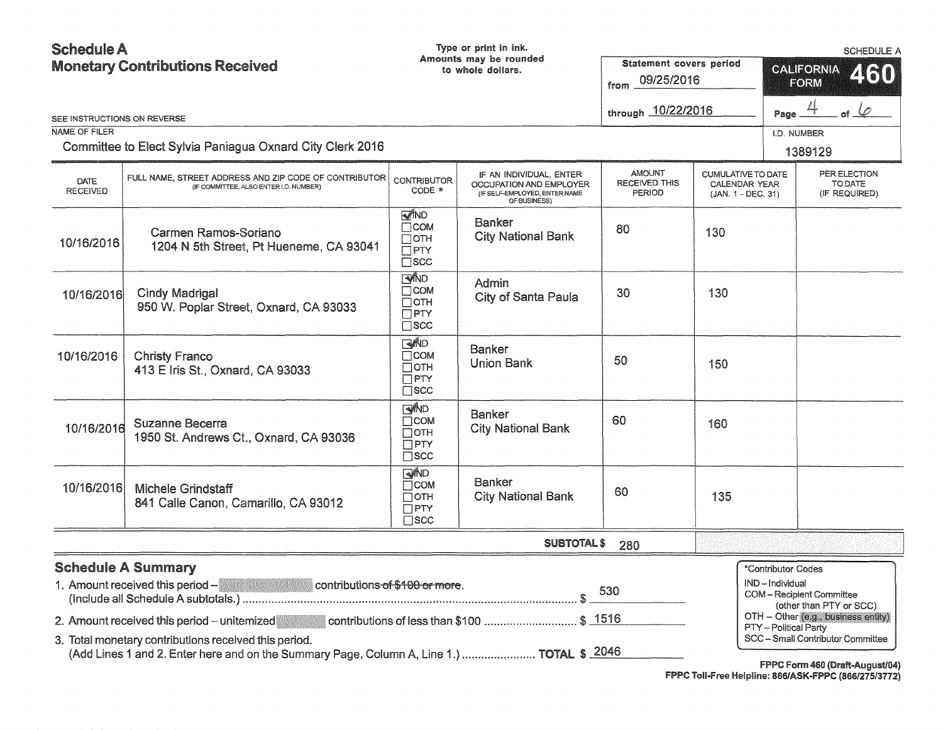| <b>Schedule A</b><br><b>Monetary Contributions Received</b>                                                       |                                                                                                                                                                                                   |                                                                                 | Type or print in ink.<br>Amounts may be rounded<br>to whole dollars.                                | Statement covers period<br>09/25/2016<br>from   |                                                                  | <b>SCHEDULE A</b><br>CALIFORNIA<br>460<br>FORM                                                                                                                                                                                      |  |
|-------------------------------------------------------------------------------------------------------------------|---------------------------------------------------------------------------------------------------------------------------------------------------------------------------------------------------|---------------------------------------------------------------------------------|-----------------------------------------------------------------------------------------------------|-------------------------------------------------|------------------------------------------------------------------|-------------------------------------------------------------------------------------------------------------------------------------------------------------------------------------------------------------------------------------|--|
| SEE INSTRUCTIONS ON REVERSE                                                                                       |                                                                                                                                                                                                   |                                                                                 |                                                                                                     | through 10/22/2016                              |                                                                  | of $\varphi$<br>Page _                                                                                                                                                                                                              |  |
| <b>NAME OF FILER</b>                                                                                              |                                                                                                                                                                                                   |                                                                                 |                                                                                                     |                                                 |                                                                  | I.D. NUMBER                                                                                                                                                                                                                         |  |
|                                                                                                                   | Committee to Elect Sylvia Paniagua Oxnard City Clerk 2016                                                                                                                                         |                                                                                 |                                                                                                     |                                                 |                                                                  | 1389129                                                                                                                                                                                                                             |  |
| <b>DATE</b><br><b>RECEIVED</b>                                                                                    | FULL NAME, STREET ADDRESS AND ZIP CODE OF CONTRIBUTOR<br>(IF COMMITTEE, ALSO ENTER I,D. NUMBER)                                                                                                   | <b>CONTRIBUTOR</b><br>CODE *                                                    | IF AN INDIVIDUAL, ENTER<br>OCCUPATION AND EMPLOYER<br>(IF SELF-EMPLOYED, ENTER NAME<br>OF BUSINESS) | <b>AMOUNT</b><br><b>RECEIVED THIS</b><br>PERIOD | <b>CUMULATIVE TO DATE</b><br>CALENDAR YEAR<br>(JAN. 1 - DEC. 31) | PER ELECTION<br>TO DATE<br>(IF REQUIRED)                                                                                                                                                                                            |  |
| 10/16/2016                                                                                                        | Carmen Ramos-Soriano<br>1204 N 5th Street, Pt Hueneme, CA 93041                                                                                                                                   | <b>MND</b><br>$\Box$ COM<br>$\Box$ OTH<br>$\Box$ PTY<br>$\square$ scc           | Banker<br><b>City National Bank</b>                                                                 | 80                                              | 130                                                              |                                                                                                                                                                                                                                     |  |
| 10/16/2016                                                                                                        | <b>Cindy Madrigal</b><br>950 W. Poplar Street, Oxnard, CA 93033                                                                                                                                   | <b>EVIND</b><br>$\Box$ COM<br>$\Box$ OTH<br>$\square$ PTY<br>$\square$ scc      | Admin<br>City of Santa Paula                                                                        | 30                                              | 130                                                              |                                                                                                                                                                                                                                     |  |
| 10/16/2016                                                                                                        | <b>Christy Franco</b><br>413 E Iris St., Oxnard, CA 93033                                                                                                                                         | M∭D<br>$\Box$ COM<br>$\Box$ OTH<br>$\Box$ PTY<br>$\Box$ scc                     | <b>Banker</b><br><b>Union Bank</b>                                                                  | 50                                              | 150                                                              |                                                                                                                                                                                                                                     |  |
| 10/16/2016                                                                                                        | <b>Suzanne Becerra</b><br>1950 St. Andrews Ct., Oxnard, CA 93036                                                                                                                                  | <b>EMMD</b><br>$\Box$ COM<br>$\Box$ OTH<br>$\Box$ PTY<br>$\square$ scc          | <b>Banker</b><br><b>City National Bank</b>                                                          | 60                                              | 160                                                              |                                                                                                                                                                                                                                     |  |
| 10/16/2016                                                                                                        | <b>Michele Grindstaff</b><br>841 Calle Canon, Camarillo, CA 93012                                                                                                                                 | <b>SAND</b><br>$\square$ COM<br>$\square$ OTH<br>$\square$ PTY<br>$\square$ scc | Banker<br><b>City National Bank</b>                                                                 | 60                                              | 135                                                              |                                                                                                                                                                                                                                     |  |
|                                                                                                                   |                                                                                                                                                                                                   |                                                                                 | <b>SUBTOTAL \$</b>                                                                                  | 280                                             |                                                                  |                                                                                                                                                                                                                                     |  |
| <b>Schedule A Summary</b><br>1. Amount received this period $-\frac{1}{2}$ contributions of \$100 or more.<br>530 |                                                                                                                                                                                                   |                                                                                 |                                                                                                     |                                                 |                                                                  | *Contributor Codes<br>IND-Individual<br>COM-Recipient Committee<br>(other than PTY or SCC)                                                                                                                                          |  |
|                                                                                                                   | 2. Amount received this period - unitemized<br>3. Total monetary contributions received this period.<br>(Add Lines 1 and 2. Enter here and on the Summary Page, Column A, Line 1.)  TOTAL \$ 2046 |                                                                                 | contributions of less than \$100  \$ 1516                                                           |                                                 |                                                                  | OTH - Other (e.g., business entity)<br>PTY-Political Party<br>SCC-Small Contributor Committee<br>$FDDC$ $F_{\text{a}}$ and $F_{\text{b}}$ $F_{\text{b}}$ $F_{\text{b}}$ $F_{\text{c}}$ $F_{\text{c}}$ $F_{\text{d}}$ $F_{\text{d}}$ |  |

FPPC Form 460 (Draft-August/04) f PPC Toil-Free Helpline: 866/ASK-FPPC (866/275/3772)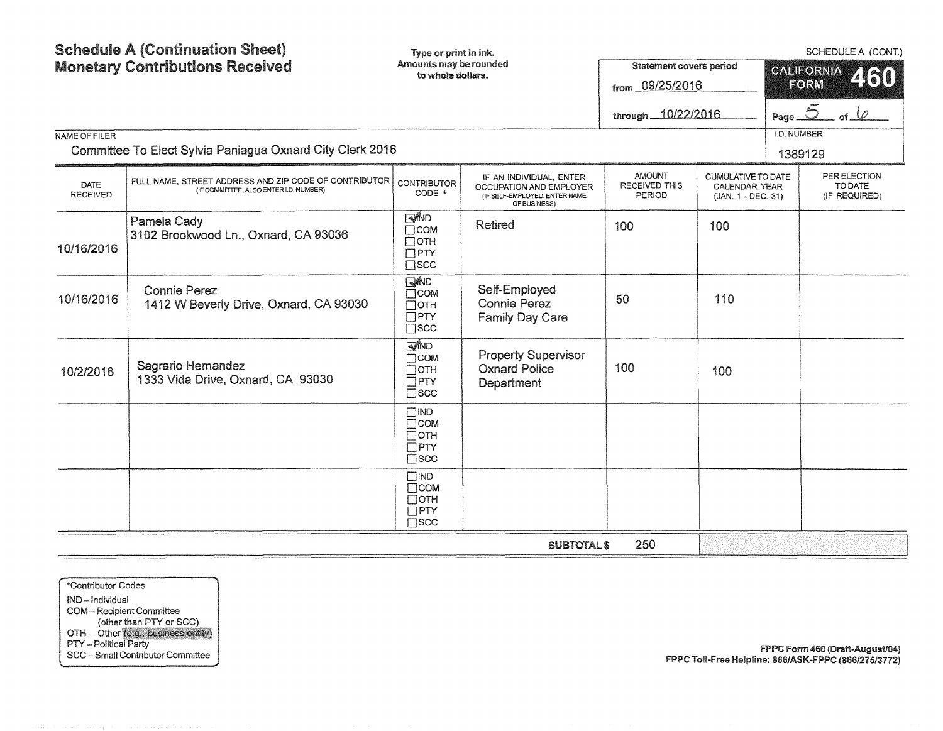|                         | <b>Schedule A (Continuation Sheet)</b><br><b>Monetary Contributions Received</b>                | Type or print in ink.<br>Amounts may be rounded<br>to whole dollars.             |                                                                                                     | <b>Statement covers period</b><br>from 09/25/2016<br>through 10/22/2016 |                                                                         | <b>I.D. NUMBER</b> | SCHEDULE A (CONT.)<br><b>CALIFORNIA</b><br>460<br>FORM<br>Page $\overline{2}$<br>of $\varphi$ |
|-------------------------|-------------------------------------------------------------------------------------------------|----------------------------------------------------------------------------------|-----------------------------------------------------------------------------------------------------|-------------------------------------------------------------------------|-------------------------------------------------------------------------|--------------------|-----------------------------------------------------------------------------------------------|
| NAME OF FILER           | Committee To Elect Sylvia Paniagua Oxnard City Clerk 2016                                       |                                                                                  |                                                                                                     |                                                                         |                                                                         |                    | 1389129                                                                                       |
| DATE<br><b>RECEIVED</b> | FULL NAME, STREET ADDRESS AND ZIP CODE OF CONTRIBUTOR<br>(IF COMMITTEE, ALSO ENTER I.D. NUMBER) | <b>CONTRIBUTOR</b><br>CODE *                                                     | IF AN INDIVIDUAL, ENTER<br>OCCUPATION AND EMPLOYER<br>(IF SELF-EMPLOYED, ENTER NAME<br>OF BUSINESS) | <b>AMOUNT</b><br><b>RECEIVED THIS</b><br><b>PERIOD</b>                  | <b>CUMULATIVE TO DATE</b><br><b>CALENDAR YEAR</b><br>(JAN. 1 - DEC. 31) |                    | PER ELECTION<br>TO DATE<br>(IF REQUIRED)                                                      |
| 10/16/2016              | Pamela Cady<br>3102 Brookwood Ln., Oxnard, CA 93036                                             | <b>SAND</b><br>$\Box$ COM<br>$\Box$ OTH<br>$\Box$ PTY<br>$\square$ scc           | <b>Retired</b>                                                                                      | 100                                                                     | 100                                                                     |                    |                                                                                               |
| 10/16/2016              | <b>Connie Perez</b><br>1412 W Beverly Drive, Oxnard, CA 93030                                   | <b>AND</b><br>$\Box$ COM<br>$\Box$ OTH<br>$\overline{\Box}$ PTY<br>$\square$ scc | Self-Employed<br><b>Connie Perez</b><br><b>Family Day Care</b>                                      | 50                                                                      | 110                                                                     |                    |                                                                                               |
| 10/2/2016               | Sagrario Hernandez<br>1333 Vida Drive, Oxnard, CA 93030                                         | <b>RAND</b><br>$\Box$ COM<br>$\Box$ OTH<br>$\Box$ PTY<br>$\square$ scc           | <b>Property Supervisor</b><br><b>Oxnard Police</b><br>Department                                    | 100                                                                     | 100                                                                     |                    |                                                                                               |
|                         |                                                                                                 | $\Box$ IND<br>$\Box$ COM<br>$\Box$ OTH<br>$\Box$ PTY<br>$\square$ SCC            |                                                                                                     |                                                                         |                                                                         |                    |                                                                                               |
|                         |                                                                                                 | $\Box$ IND<br>$\Box$ COM<br>$\Box$ OTH<br>$\Box$ PTY<br>$\square$ scc            |                                                                                                     |                                                                         |                                                                         |                    |                                                                                               |
|                         |                                                                                                 |                                                                                  | <b>SUBTOTAL \$</b>                                                                                  | 250                                                                     |                                                                         |                    |                                                                                               |

\*Contributor Codes IND- Individual COM - Recipient Committee (other than PTY or SCC OTH - Other PTY - Political Party SCC - Small Contributor Committee

FPPC Form 460 (Draft-August/04) fPPC Toll-free Helpline: 866/ASK·f PPC (866/275/3772)